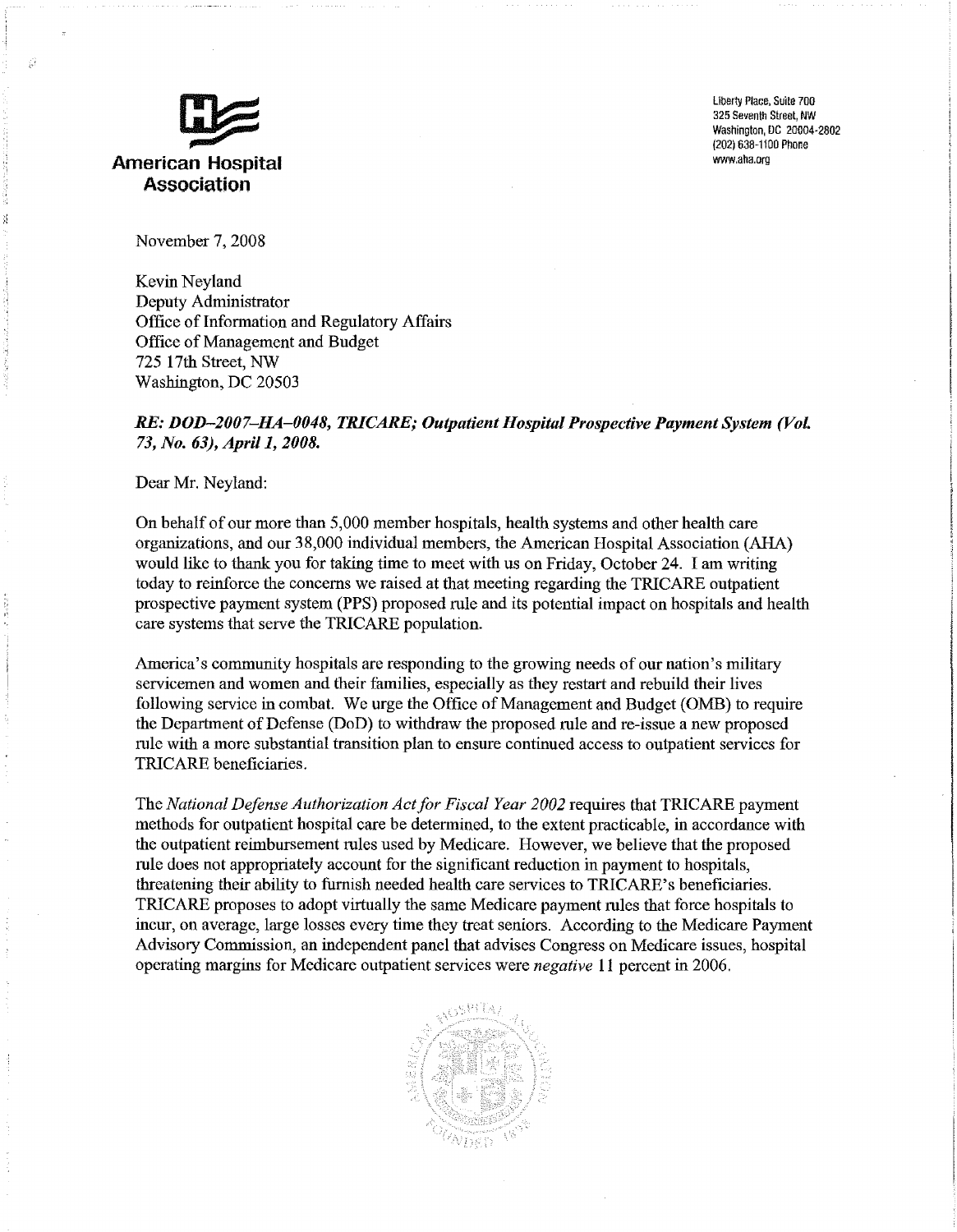

Uberty Place, Suite 700 325 Seventh Street, NW Examples and the street, www.experimental.com of the street, www.experimental.com of the street, www.experimental.com of the street, www.experimental.com of the street, www.experimental.com of the street of the street of t (202) 638-1100 Phone<br>www.aha.org

November 7, 2008

Kevin Neyland Deputy Administrator Office of Information and Regulatory Affairs Office of Management and Budget 725 17th Street, NW Washington, DC 20503

## *RE: DOD-2007-HA-0048, TRICARE; Outpatient Hospital Prospective Payment System (VoL 73, No.* 63), *April 1, 2008.*

Dear Mr. Neyland:

On behalf of our more than 5,000 member hospitals, health systems and other health care organizations, and our 38,000 individual members, the American Hospital Association (AHA) would like to thank you for taking time to meet with us on Friday, October 24. I am writing today to reinforce the concerns we raised at that meeting regarding the TRICARE outpatient prospective payment system (PPS) proposed rule and its potential impact on hospitals and health care systems that serve the TRICARE population.

America's community hospitals are responding to the growing needs of our nation's military servicemen and women and their families, especially as they restart and rebuild their lives following service in combat. We urge the Office of Management and Budget (OMB) to require the Department of Defense (DoD) to withdraw the proposed rule and re-issue a new proposed rule with a more substantial transition plan to ensure continued access to outpatient services for TRICARE beneficiaries.

The *National Defense Authorization Actfor Fiscal Year 2002* requires that TRICARE payment methods for outpatient hospital care be determined, to the extent practicable, in accordance with the outpatient reimbursement rules used by Medicare. However, we believe that the proposed rule does not appropriately account for the significant reduction in payment to hospitals, threatening their ability to furnish needed health care services to TRICARE's beneficiaries. TRICARE proposes to adopt virtually the same Medicare payment rules that force hospitals to incur, on average, large losses every time they treat seniors. According to the Medicare Payment Advisory Commission, an independent panel that advises Congress on Medicare issues, hospital operating margins for Medicare outpatient services were *negative* 11 percent in 2006.

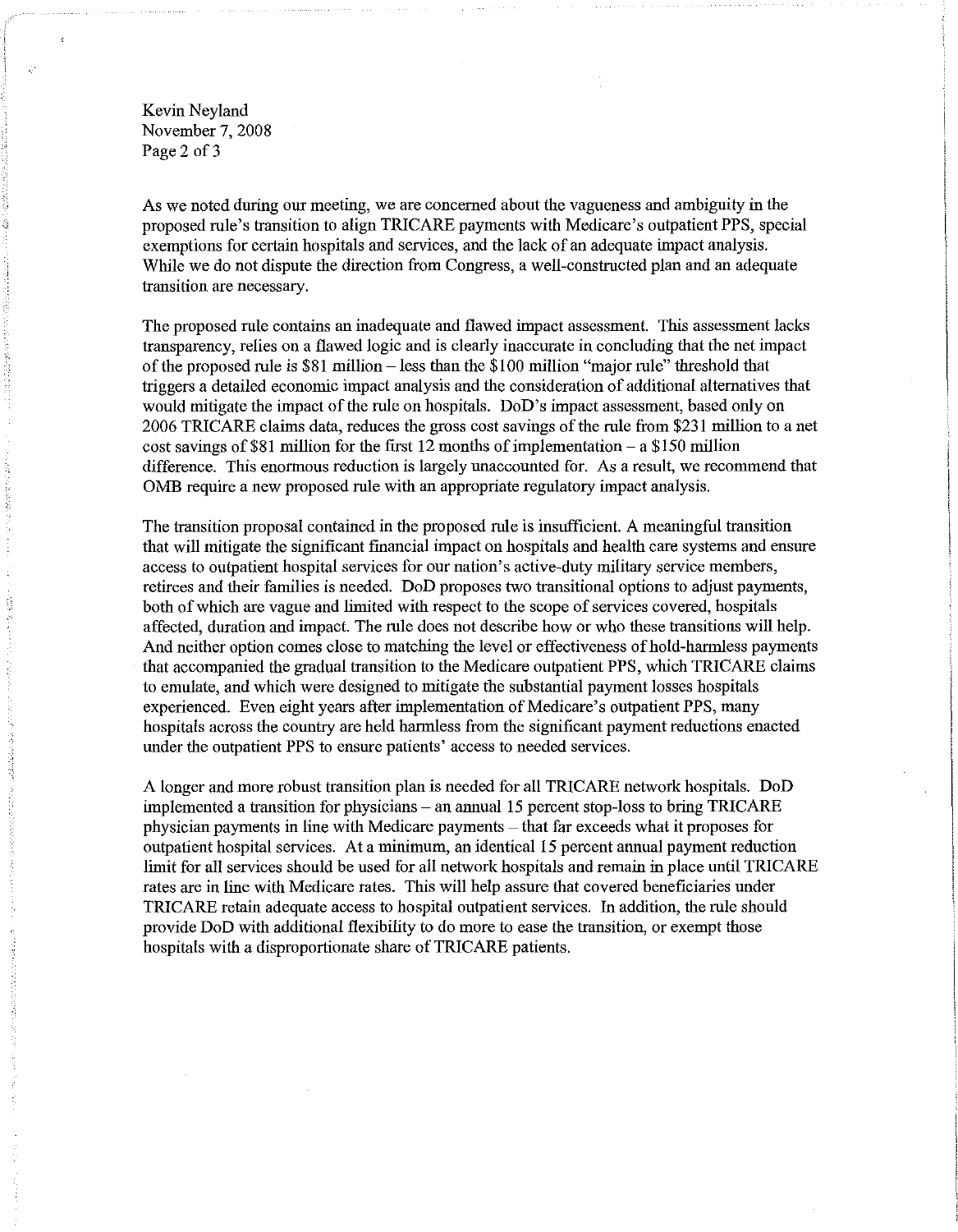Kevin Neyland November 7, 2008 Page 2 of 3

As we noted during our meeting, we are concerned about the vagueness and ambiguity in the proposed rule's transition to align TRICARE payments with Medicare's outpatient PPS, special exemptions for certain hospitals and services, and the lack of an adequate impact analysis. While we do not dispute the direction from Congress, a well-constructed plan and an adequate transition are necessary.

The proposed rule contains an inadequate and flawed impact assessment. This assessment lacks transparency, relies on a flawed logic and is clearly inaccurate in concluding that the net impact of the proposed rule is \$81 million -less than the \$100 million "major rule" threshold that triggers a detailed economic impact analysis and the consideration of additional alternatives that would mitigate the impact of the rule on hospitals. DoD's impact assessment, based only on 2006 TRICARE claims data, reduces the gross cost savings of the rule from \$231 million to a net cost savings of \$81 million for the first 12 months of implementation  $-$  a \$150 million difference. This enormous reduction is largely unaccounted for. As a result, we recommend that OMB require a new proposed rule with an appropriate regulatory impact analysis.

The transition proposal contained in the proposed rule is insufficient. A meaningful transition that will mitigate the significant financial impact on hospitals and health care systems and ensure access to outpatient hospital services for our nation's active-duty military service members, retirees and their families is needed. DoD proposes two transitional options to adjust payments, both of which are vague and limited with respect to the scope of services covered, hospitals affected, duration and impact. The rule does not describe how or who these transitions will help. And neither option comes close to matching the level or effectiveness of hold-harmless payments that accompanied the gradual transition to the Medicare outpatient PPS, which TRICARE claims to emulate, and which were designed to mitigate the substantial payment losses hospitals experienced. Even eight years after implementation of Medicare's outpatient PPS, many hospitals across the country are held harmless from the significant payment reductions enacted under the outpatient PPS to ensure patients' access to needed services.

A longer and more robust transition plan is needed for all TRICARE network hospitals. DoD implemented a transition for physicians – an annual 15 percent stop-loss to bring TRICARE physician payments in line with Medicare payments - that far exceeds what it proposes for outpatient hospital services. At a minimum, an identical 15 percent annual payment reduction limit for all services should be used for all network hospitals and remain in place until TRICARE rates are in line with Medicare rates. This will help assure that covered beneficiaries under TRICARE retain adequate access to hospital outpatient services. In addition, the rule should provide DoD with additional flexibility to do more to ease the transition, or exempt those hospitals with a disproportionate share of TRICARE patients.